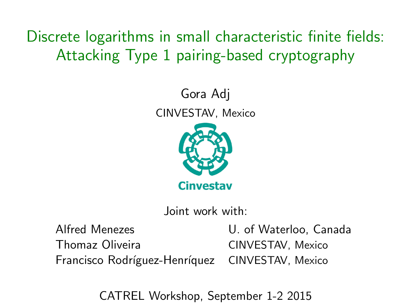Discrete logarithms in small characteristic finite fields: Attacking Type 1 pairing-based cryptography

> Gora Adj CINVESTAV, Mexico



Joint work with:

Thomaz Oliveira CINVESTAV, Mexico

Alfred Menezes **U.** of Waterloo, Canada Francisco Rodríguez-Henríquez CINVESTAV, Mexico

<span id="page-0-0"></span>CATREL Workshop, September 1-2 2015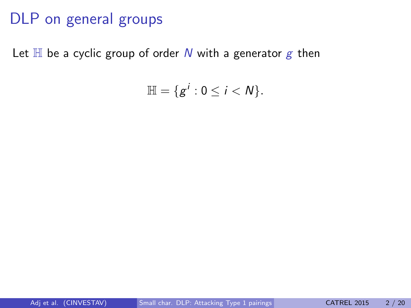Let  $\mathbb H$  be a cyclic group of order N with a generator g then

$$
\mathbb{H}=\{g^i:0\leq i
$$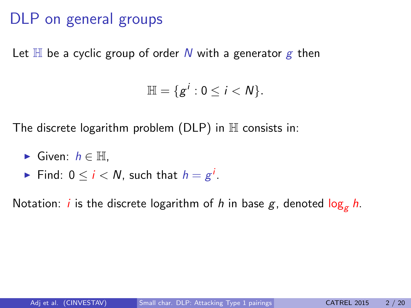Let  $\mathbb H$  be a cyclic group of order N with a generator g then

$$
\mathbb{H}=\{g^i:0\leq i
$$

The discrete logarithm problem ( $DLP$ ) in  $H$  consists in:

- ► Given:  $h \in \mathbb{H}$ .
- ► Find: 0  $\leq$   $i$   $<$   $N$ , such that  $h = g^i$ .

Notation: *i* is the discrete logarithm of *h* in base  $g$ , denoted  $\log_{g} h$ .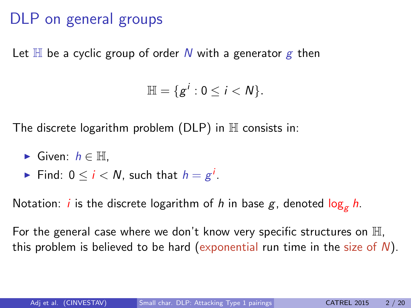Let  $\mathbb H$  be a cyclic group of order N with a generator g then

$$
\mathbb{H}=\{g^i:0\leq i
$$

The discrete logarithm problem  $(DLP)$  in  $H$  consists in:

- $\triangleright$  Given:  $h \in \mathbb{H}$ .
- ► Find: 0  $\leq$   $i$   $<$   $N$ , such that  $h = g^i$ .

Notation: *i* is the discrete logarithm of *h* in base  $g$ , denoted  $\log_a h$ .

For the general case where we don't know very specific structures on  $\mathbb{H}$ , this problem is believed to be hard (exponential run time in the size of  $N$ ).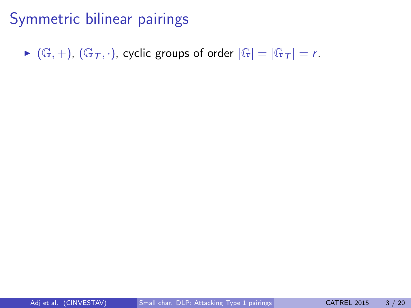$\blacktriangleright$   $(\mathbb{G}, +)$ ,  $(\mathbb{G}_T, \cdot)$ , cyclic groups of order  $|\mathbb{G}| = |\mathbb{G}_T| = r$ .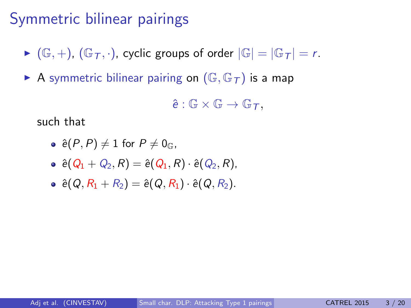- $\blacktriangleright$   $(\mathbb{G}, +)$ ,  $(\mathbb{G}_{T}, \cdot)$ , cyclic groups of order  $|\mathbb{G}| = |\mathbb{G}_{T}| = r$ .
- A symmetric bilinear pairing on  $(\mathbb{G}, \mathbb{G}_T)$  is a map

 $\hat{e}$  :  $\mathbb{G} \times \mathbb{G} \rightarrow \mathbb{G} \tau$ .

such that

• 
$$
\hat{e}(P, P) \neq 1
$$
 for  $P \neq 0$ <sub>G</sub>,

- $\hat{e}(Q_1 + Q_2, R) = \hat{e}(Q_1, R) \cdot \hat{e}(Q_2, R),$
- $\hat{e}(Q, R_1 + R_2) = \hat{e}(Q, R_1) \cdot \hat{e}(Q, R_2).$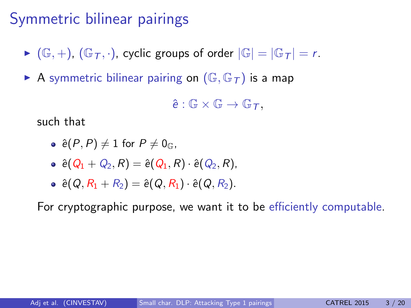- $\blacktriangleright$   $(\mathbb{G}, +)$ ,  $(\mathbb{G}_{T}, \cdot)$ , cyclic groups of order  $|\mathbb{G}| = |\mathbb{G}_{T}| = r$ .
- A symmetric bilinear pairing on  $(\mathbb{G}, \mathbb{G}_T)$  is a map

 $\hat{e} : \mathbb{G} \times \mathbb{G} \to \mathbb{G} \tau$ .

such that

• 
$$
\hat{e}(P, P) \neq 1
$$
 for  $P \neq 0$ <sub>G</sub>,

- $\hat{e}(Q_1 + Q_2, R) = \hat{e}(Q_1, R) \cdot \hat{e}(Q_2, R),$
- $\hat{e}(Q, R_1 + R_2) = \hat{e}(Q, R_1) \cdot \hat{e}(Q, R_2).$

For cryptographic purpose, we want it to be efficiently computable.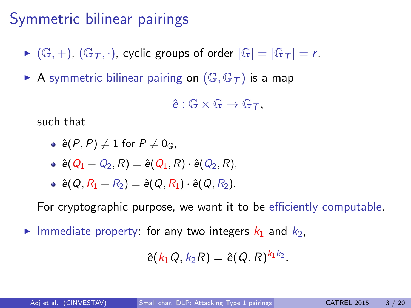- $\blacktriangleright$   $(\mathbb{G}, +)$ ,  $(\mathbb{G}_{T}, \cdot)$ , cyclic groups of order  $|\mathbb{G}| = |\mathbb{G}_{T}| = r$ .
- A symmetric bilinear pairing on  $(\mathbb{G}, \mathbb{G}_T)$  is a map

 $\hat{e} : \mathbb{G} \times \mathbb{G} \to \mathbb{G} \tau$ .

such that

• 
$$
\hat{e}(P, P) \neq 1
$$
 for  $P \neq 0$ <sub>G</sub>,

- $\hat{e}(Q_1 + Q_2, R) = \hat{e}(Q_1, R) \cdot \hat{e}(Q_2, R),$
- $\hat{e}(Q, R_1 + R_2) = \hat{e}(Q, R_1) \cdot \hat{e}(Q, R_2).$

For cryptographic purpose, we want it to be efficiently computable.

Immediate property: for any two integers  $k_1$  and  $k_2$ ,

$$
\hat{e}(k_1Q,k_2R)=\hat{e}(Q,R)^{k_1k_2}.
$$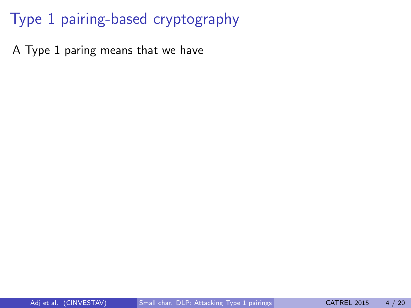A Type 1 paring means that we have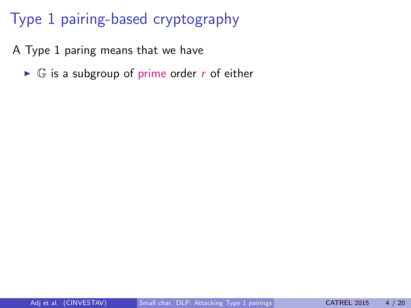A Type 1 paring means that we have

 $\triangleright$  G is a subgroup of prime order r of either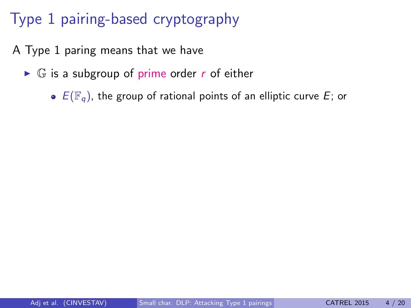- A Type 1 paring means that we have
	- $\triangleright$  G is a subgroup of prime order r of either
		- $\bullet$   $E(\mathbb{F}_q)$ , the group of rational points of an elliptic curve E; or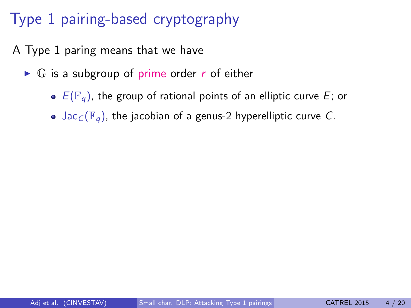- A Type 1 paring means that we have
	- $\triangleright$  G is a subgroup of prime order r of either
		- $\bullet$   $E(\mathbb{F}_q)$ , the group of rational points of an elliptic curve E; or
		- Jac<sub>C</sub>( $\mathbb{F}_q$ ), the jacobian of a genus-2 hyperelliptic curve C.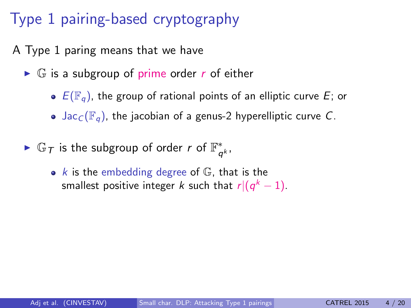A Type 1 paring means that we have

- $\triangleright$  G is a subgroup of prime order r of either
	- $\bullet$   $E(\mathbb{F}_q)$ , the group of rational points of an elliptic curve E; or
	- Jac<sub>C</sub>( $\mathbb{F}_q$ ), the jacobian of a genus-2 hyperelliptic curve C.
- ►  $\mathbb{G}_T$  is the subgroup of order r of  $\mathbb{F}_q^*$  $_{q^{k}}^{\ast}$ 
	- $k$  is the embedding degree of  $\mathbb{G}$ , that is the smallest positive integer  $k$  such that  $r|(q^k-1).$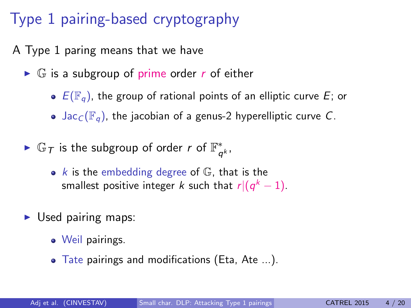A Type 1 paring means that we have

- $\triangleright$  G is a subgroup of prime order r of either
	- $\bullet$   $E(\mathbb{F}_q)$ , the group of rational points of an elliptic curve E; or
	- Jac<sub>C</sub>( $\mathbb{F}_q$ ), the jacobian of a genus-2 hyperelliptic curve C.
- ►  $\mathbb{G}_T$  is the subgroup of order r of  $\mathbb{F}_q^*$  $_{q^{k}}^{\ast}$ 
	- $k$  is the embedding degree of  $\mathbb{G}$ , that is the smallest positive integer  $k$  such that  $r|(q^k-1).$
- $\triangleright$  Used pairing maps:
	- Weil pairings.
	- Tate pairings and modifications (Eta, Ate ...).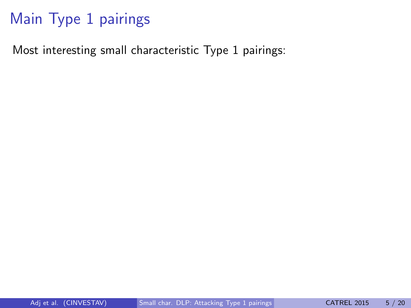Most interesting small characteristic Type 1 pairings: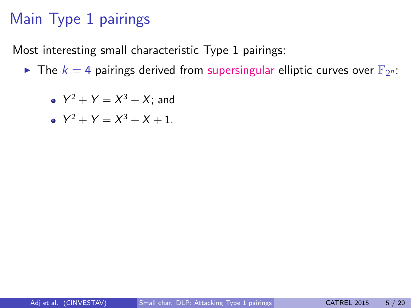Most interesting small characteristic Type 1 pairings:

The  $k = 4$  pairings derived from supersingular elliptic curves over  $\mathbb{F}_{2^n}$ :

• 
$$
Y^2 + Y = X^3 + X
$$
; and

• 
$$
Y^2 + Y = X^3 + X + 1
$$
.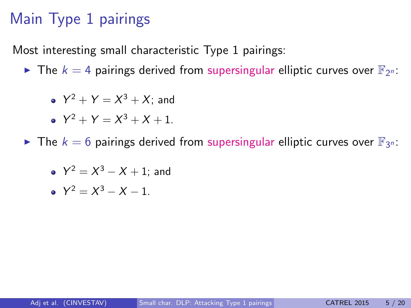Most interesting small characteristic Type 1 pairings:

The  $k = 4$  pairings derived from supersingular elliptic curves over  $\mathbb{F}_{2^n}$ :

• 
$$
Y^2 + Y = X^3 + X
$$
; and

• 
$$
Y^2 + Y = X^3 + X + 1
$$
.

The  $k = 6$  pairings derived from supersingular elliptic curves over  $\mathbb{F}_{3^n}$ :

• 
$$
Y^2 = X^3 - X + 1
$$
; and

• 
$$
Y^2 = X^3 - X - 1
$$
.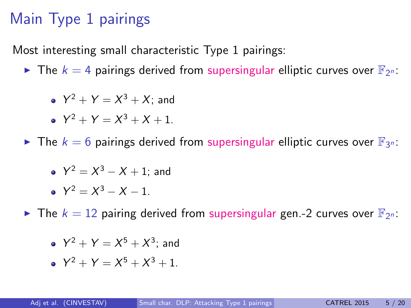Most interesting small characteristic Type 1 pairings:

The  $k = 4$  pairings derived from supersingular elliptic curves over  $\mathbb{F}_{2^n}$ :

• 
$$
Y^2 + Y = X^3 + X
$$
; and

• 
$$
Y^2 + Y = X^3 + X + 1
$$
.

The  $k = 6$  pairings derived from supersingular elliptic curves over  $\mathbb{F}_{3^n}$ :

• 
$$
Y^2 = X^3 - X + 1
$$
; and

• 
$$
Y^2 = X^3 - X - 1
$$
.

The  $k = 12$  pairing derived from supersingular gen.-2 curves over  $\mathbb{F}_{2^n}$ :

• 
$$
Y^2 + Y = X^5 + X^3
$$
; and

 $Y^2 + Y = X^5 + X^3 + 1.$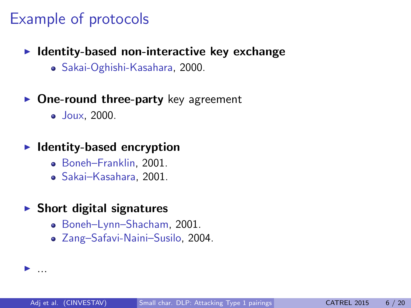#### Example of protocols

- $\blacktriangleright$  Identity-based non-interactive key exchange
	- Sakai-Oghishi-Kasahara, 2000.
- $\triangleright$  One-round three-party key agreement
	- Joux, 2000.

#### $\blacktriangleright$  Identity-based encryption

- Boneh–Franklin, 2001.
- Sakai–Kasahara, 2001.
- $\blacktriangleright$  Short digital signatures

 $\blacktriangleright$  ...

- Boneh–Lynn–Shacham, 2001.
- Zang–Safavi-Naini–Susilo, 2004.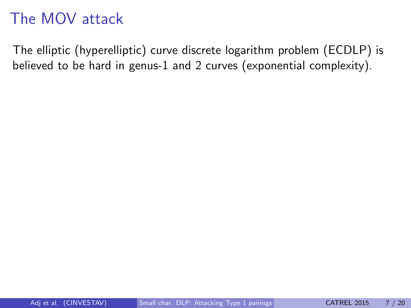## The MOV attack

The elliptic (hyperelliptic) curve discrete logarithm problem (ECDLP) is believed to be hard in genus-1 and 2 curves (exponential complexity).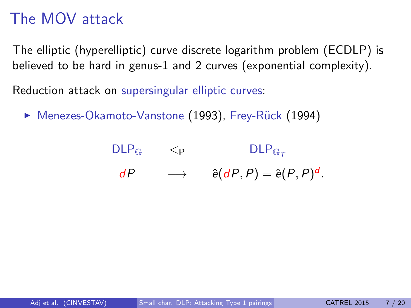## The MOV attack

The elliptic (hyperelliptic) curve discrete logarithm problem (ECDLP) is believed to be hard in genus-1 and 2 curves (exponential complexity).

Reduction attack on supersingular elliptic curves:

▶ Menezes-Okamoto-Vanstone (1993), Frey-Rück (1994)

| $DLP_{\mathbb{G}}$ | $\leq$ P | $DLP_{G_{\tau}}$                     |
|--------------------|----------|--------------------------------------|
| dP                 |          | $\hat{e}(dP, P) = \hat{e}(P, P)^d$ . |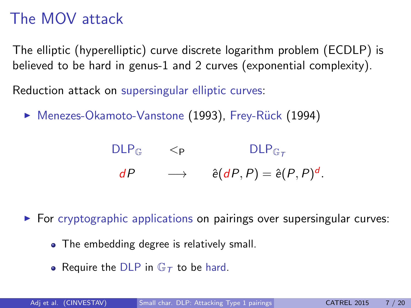## The MOV attack

The elliptic (hyperelliptic) curve discrete logarithm problem (ECDLP) is believed to be hard in genus-1 and 2 curves (exponential complexity).

Reduction attack on supersingular elliptic curves:

▶ Menezes-Okamoto-Vanstone (1993), Frey-Rück (1994)

| $DLP_{\mathbb{G}}$ | $\leq$ P | $DLP_{G_{\tau}}$                     |
|--------------------|----------|--------------------------------------|
| dP                 |          | $\hat{e}(dP, P) = \hat{e}(P, P)^d$ . |

 $\triangleright$  For cryptographic applications on pairings over supersingular curves:

- The embedding degree is relatively small.
- Require the DLP in  $\mathbb{G}_T$  to be hard.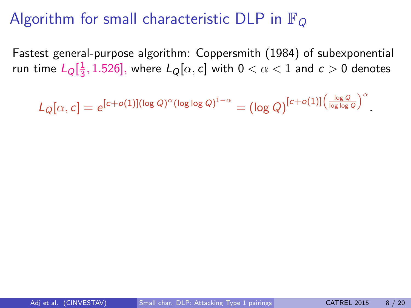#### Algorithm for small characteristic DLP in  $\mathbb{F}_{Q}$

Fastest general-purpose algorithm: Coppersmith (1984) of subexponential run time  $L_{Q}[\frac{1}{3}]$  $\frac{1}{3}$ , 1.526], where  $L_{Q}[\alpha, c]$  with  $0 < \alpha < 1$  and  $c > 0$  denotes

 $L_Q[\alpha, c] = e^{[c + o(1)](\log Q)^\alpha(\log\log Q)^{1-\alpha}} = (\log Q)^{[c + o(1)]\left(\frac{\log Q}{\log\log Q}\right)^\alpha}$ 

.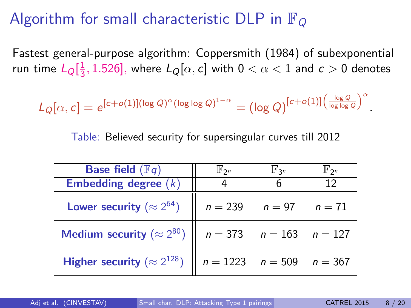## Algorithm for small characteristic DLP in  $\mathbb{F}_{Q}$

Fastest general-purpose algorithm: Coppersmith (1984) of subexponential run time  $L_{Q}[\frac{1}{3}]$  $\frac{1}{3}$ , 1.526], where  $L_{Q}[\alpha, c]$  with  $0 < \alpha < 1$  and  $c > 0$  denotes

$$
L_Q[\alpha,c]=e^{[c+o(1)](\log Q)^\alpha(\log\log Q)^{1-\alpha}}=\bigl(\log Q\bigr)^{[c+o(1)]\left(\frac{\log Q}{\log\log Q}\right)^\alpha}.
$$

Table: Believed security for supersingular curves till 2012

| <b>Base field</b> $(\mathbb{F}q)$     | $\mathbb{F}_{2^n}$ | $\mathbb{F}_{3^n}$    | $\mathbb{F}_{2^n}$ |
|---------------------------------------|--------------------|-----------------------|--------------------|
| Embedding degree $(k)$                |                    |                       | 12                 |
| Lower security ( $\approx 2^{64}$ )   | $n = 239$          | $n=97$                | $n=71$             |
| Medium security ( $\approx 2^{80}$ )  | $n = 373$          | $n = 163$   $n = 127$ |                    |
| Higher security ( $\approx 2^{128}$ ) | $n = 1223$         | $n = 509$             | $n = 367$          |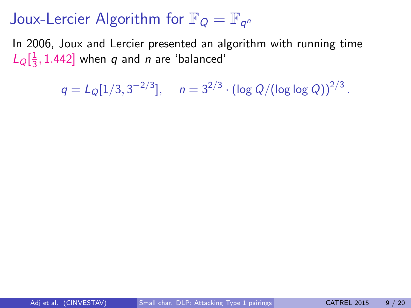In 2006, Joux and Lercier presented an algorithm with running time  $L_{Q}[\frac{1}{3}]$  $\frac{1}{3}$ , 1.442] when q and n are 'balanced'

 $q = L_Q[1/3, 3^{-2/3}], \quad n = 3^{2/3} \cdot (\log Q/(\log \log Q))^{2/3}.$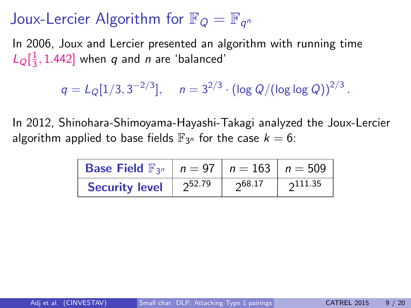In 2006, Joux and Lercier presented an algorithm with running time  $L_{Q}[\frac{1}{3}]$  $\frac{1}{3}$ , 1.442] when q and n are 'balanced'

 $q = L_Q[1/3, 3^{-2/3}], \quad n = 3^{2/3} \cdot (\log Q/(\log \log Q))^{2/3}.$ 

In 2012, Shinohara-Shimoyama-Hayashi-Takagi analyzed the Joux-Lercier algorithm applied to base fields  $\mathbb{F}_{3^n}$  for the case  $k=6$ :

| <b>Base Field</b> $\mathbb{F}_{3^n}$   $n = 97$   $n = 163$   $n = 509$ |        |                   |                 |
|-------------------------------------------------------------------------|--------|-------------------|-----------------|
| <b>Security level</b>                                                   | 252.79 | $\n  \, 068.17\n$ | $\Omega$ 111.35 |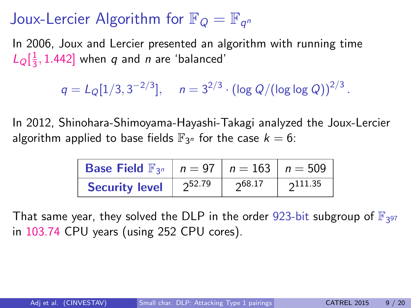In 2006, Joux and Lercier presented an algorithm with running time  $L_{Q}[\frac{1}{3}]$  $\frac{1}{3}$ , 1.442] when q and n are 'balanced'

 $q = L_Q[1/3, 3^{-2/3}], \quad n = 3^{2/3} \cdot (\log Q/(\log \log Q))^{2/3}.$ 

In 2012, Shinohara-Shimoyama-Hayashi-Takagi analyzed the Joux-Lercier algorithm applied to base fields  $\mathbb{F}_{3^n}$  for the case  $k=6$ :

| <b>Base Field</b> $\mathbb{F}_{3^n}$   $n = 97$   $n = 163$   $n = 509$ |        |        |                 |
|-------------------------------------------------------------------------|--------|--------|-----------------|
| <b>Security level</b>                                                   | 252.79 | 268.17 | $\Omega$ 111.35 |

That same year, they solved the DLP in the order 923-bit subgroup of  $\mathbb{F}_{3^{97}}$ in 103.74 CPU years (using 252 CPU cores).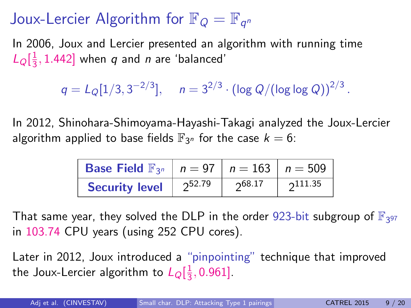In 2006, Joux and Lercier presented an algorithm with running time  $L_{Q}[\frac{1}{3}]$  $\frac{1}{3}$ , 1.442] when q and n are 'balanced'

 $q = L_Q[1/3, 3^{-2/3}], \quad n = 3^{2/3} \cdot (\log Q/(\log \log Q))^{2/3}.$ 

In 2012, Shinohara-Shimoyama-Hayashi-Takagi analyzed the Joux-Lercier algorithm applied to base fields  $\mathbb{F}_{3^n}$  for the case  $k=6$ :

| <b>Base Field</b> $\mathbb{F}_{3^n}$   $n = 97$   $n = 163$   $n = 509$ |        |        |        |
|-------------------------------------------------------------------------|--------|--------|--------|
| <b>Security level</b>                                                   | 252.79 | 268.17 | 211.35 |

That same year, they solved the DLP in the order 923-bit subgroup of  $\mathbb{F}_{3^{97}}$ in 103.74 CPU years (using 252 CPU cores).

Later in 2012, Joux introduced a "pinpointing" technique that improved the Joux-Lercier algorithm to  $L_{Q}[\frac{1}{3}]$  $\frac{1}{3}$ , 0.961].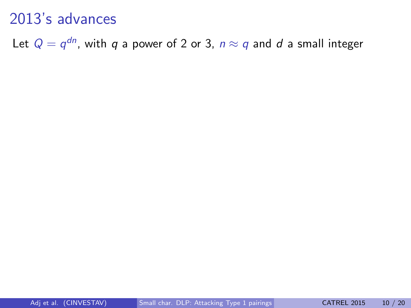Let  $Q=q^{dn}$ , with  $q$  a power of 2 or 3,  $n\approx q$  and  $d$  a small integer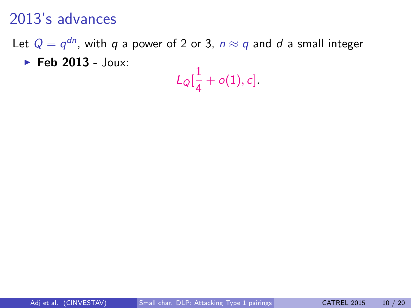Let  $Q=q^{dn}$ , with  $q$  a power of 2 or 3,  $n\approx q$  and  $d$  a small integer

4

 $\blacktriangleright$  Feb 2013 - Joux:

$$
L_{Q}[\frac{1}{4}+o(1),c].
$$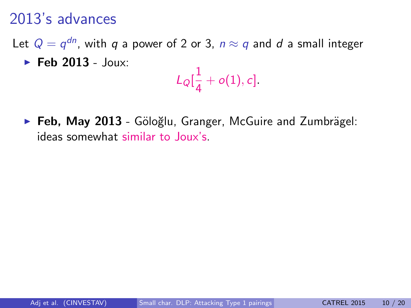Let  $Q=q^{dn}$ , with  $q$  a power of 2 or 3,  $n\approx q$  and  $d$  a small integer  $\blacktriangleright$  Feb 2013 - Joux:

$$
L_{Q}[\frac{1}{4}+o(1),c]
$$

 $\triangleright$  Feb, May 2013 - Göloğlu, Granger, McGuire and Zumbrägel: ideas somewhat similar to Joux's.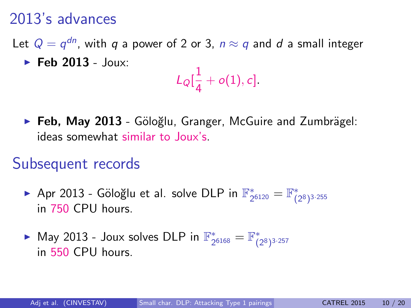Let  $Q=q^{dn}$ , with  $q$  a power of 2 or 3,  $n\approx q$  and  $d$  a small integer  $\blacktriangleright$  Feb 2013 - Joux:

$$
L_{Q}[\frac{1}{4}+o(1),c]
$$

 $\triangleright$  Feb, May 2013 - Göloğlu, Granger, McGuire and Zumbrägel: ideas somewhat similar to Joux's.

#### Subsequent records

- Apr 2013 Göloğlu et al. solve DLP in  $\mathbb{F}_2^*$  $\frac{1}{2^{6120}} = \mathbb{F}_{(2^8)^{3 \cdot 255}}^*$ in 750 CPU hours.
- ► May 2013 Joux solves DLP in  $\mathbb{F}_2^*$  $\mathcal{L}_{2^{6168}} = \mathbb{F}_{(2^8)^{3 \cdot 257}}^*$ in 550 CPU hours.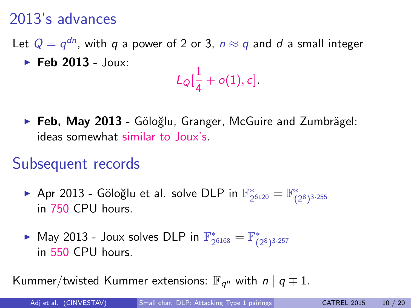Let  $Q=q^{dn}$ , with  $q$  a power of 2 or 3,  $n\approx q$  and  $d$  a small integer  $\blacktriangleright$  Feb 2013 - Joux:

$$
L_{Q}[\frac{1}{4}+o(1),c]
$$

 $\triangleright$  Feb, May 2013 - Göloğlu, Granger, McGuire and Zumbrägel: ideas somewhat similar to Joux's.

#### Subsequent records

- Apr 2013 Göloğlu et al. solve DLP in  $\mathbb{F}_2^*$  $\frac{1}{2^{6120}} = \mathbb{F}_{(2^8)^{3 \cdot 255}}^*$ in 750 CPU hours.
- ► May 2013 Joux solves DLP in  $\mathbb{F}_2^*$  $\mathcal{L}_{2^{6168}} = \mathbb{F}_{(2^8)^{3 \cdot 257}}^*$ in 550 CPU hours.

Kummer/twisted Kummer extensions:  $\mathbb{F}_{q^n}$  with  $n \mid q \neq 1$ .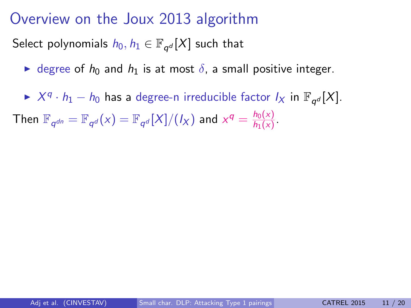#### Overview on the Joux 2013 algorithm

Select polynomials  $h_0, h_1 \in \mathbb{F}_{q^d}[X]$  such that

 $\blacktriangleright$  degree of  $h_0$  and  $h_1$  is at most  $\delta$ , a small positive integer.

►  $X^q \cdot h_1 - h_0$  has a degree-n irreducible factor  $I_X$  in  $\mathbb{F}_{q^d}[X]$ .

Then  $\mathbb{F}_{q^{dn}}=\mathbb{F}_{q^{d}}(x)=\mathbb{F}_{q^{d}}[X]/(I_X)$  and  $x^q=\frac{h_0(x)}{h_1(x)}$  $\frac{n_0(x)}{h_1(x)}$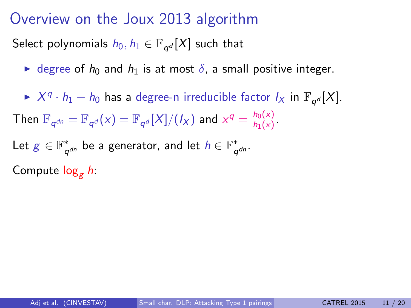#### Overview on the Joux 2013 algorithm

Select polynomials  $h_0, h_1 \in \mathbb{F}_{q^d}[X]$  such that

 $\blacktriangleright$  degree of  $h_0$  and  $h_1$  is at most  $\delta$ , a small positive integer.

►  $X^q \cdot h_1 - h_0$  has a degree-n irreducible factor  $I_X$  in  $\mathbb{F}_{q^d}[X]$ . Then  $\mathbb{F}_{q^{dn}}=\mathbb{F}_{q^{d}}(x)=\mathbb{F}_{q^{d}}[X]/(I_X)$  and  $x^q=\frac{h_0(x)}{h_1(x)}$  $\frac{n_0(x)}{h_1(x)}$ Let  $g \in \mathbb{F}^*_q$  $_{q^{dn}}^*$  be a generator, and let  $h\in\mathbb{F}_q^*$ q dn . Compute  $\log_e h$ :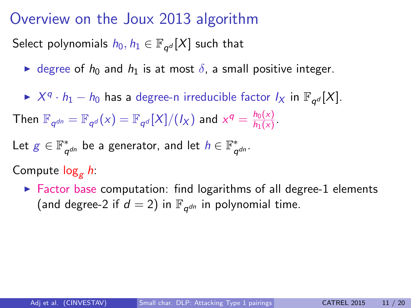#### Overview on the Joux 2013 algorithm

Select polynomials  $h_0, h_1 \in \mathbb{F}_{q^d}[X]$  such that

 $\triangleright$  degree of  $h_0$  and  $h_1$  is at most  $\delta$ , a small positive integer.

►  $X^q \cdot h_1 - h_0$  has a degree-n irreducible factor  $I_X$  in  $\mathbb{F}_{q^d}[X]$ . Then  $\mathbb{F}_{q^{dn}}=\mathbb{F}_{q^{d}}(x)=\mathbb{F}_{q^{d}}[X]/(I_X)$  and  $x^q=\frac{h_0(x)}{h_1(x)}$  $\frac{n_0(x)}{h_1(x)}$ 

Let  $g \in \mathbb{F}^*_q$  $_{q^{dn}}^*$  be a generator, and let  $h\in\mathbb{F}_q^*$ q dn .

Compute  $\log_e h$ :

 $\triangleright$  Factor base computation: find logarithms of all degree-1 elements (and degree-2 if  $d = 2$ ) in  $\mathbb{F}_{q^{dn}}$  in polynomial time.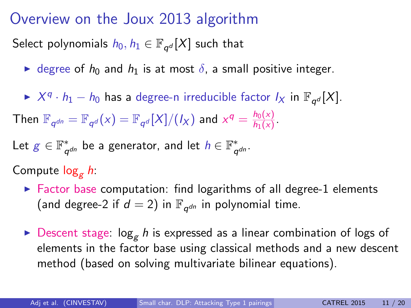### Overview on the Joux 2013 algorithm

Select polynomials  $h_0, h_1 \in \mathbb{F}_{q^d}[X]$  such that

 $\triangleright$  degree of  $h_0$  and  $h_1$  is at most  $\delta$ , a small positive integer.

►  $X^q \cdot h_1 - h_0$  has a degree-n irreducible factor  $I_X$  in  $\mathbb{F}_{q^d}[X]$ . Then  $\mathbb{F}_{q^{dn}}=\mathbb{F}_{q^{d}}(x)=\mathbb{F}_{q^{d}}[X]/(I_X)$  and  $x^q=\frac{h_0(x)}{h_1(x)}$  $\frac{n_0(x)}{h_1(x)}$ 

Let 
$$
g \in \mathbb{F}_{q^{dn}}^*
$$
 be a generator, and let  $h \in \mathbb{F}_{q^{dn}}^*$ .

Compute  $log<sub>e</sub> h$ :

- $\triangleright$  Factor base computation: find logarithms of all degree-1 elements (and degree-2 if  $d = 2$ ) in  $\mathbb{F}_{q^{dn}}$  in polynomial time.
- $\triangleright$  Descent stage:  $\log_e h$  is expressed as a linear combination of logs of elements in the factor base using classical methods and a new descent method (based on solving multivariate bilinear equations).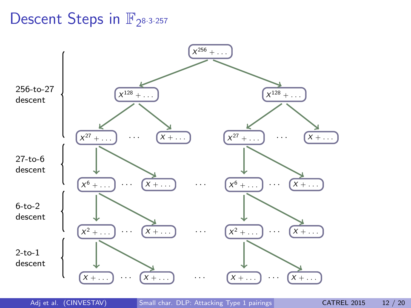# Descent Steps in  $\mathbb{F}_{2^{8\cdot3\cdot257}}$



Adj et al. (CINVESTAV) [Small char. DLP: Attacking Type 1 pairings](#page-0-0) CATREL 2015 12 / 20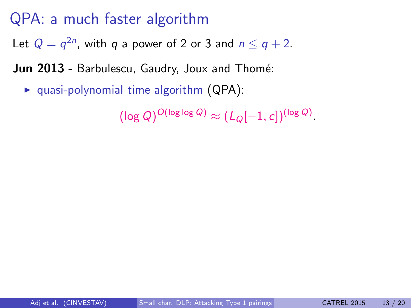Let  $Q = q^{2n}$ , with  $q$  a power of 2 or 3 and  $n \leq q+2$ .

**Jun 2013** - Barbulescu, Gaudry, Joux and Thomé:

 $\triangleright$  quasi-polynomial time algorithm (QPA):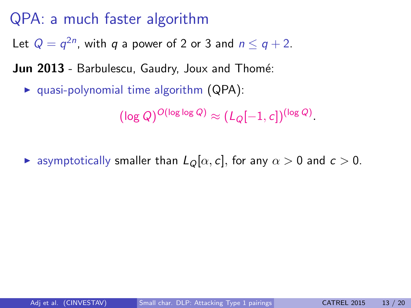Let  $Q = q^{2n}$ , with  $q$  a power of 2 or 3 and  $n \leq q+2$ .

**Jun 2013** - Barbulescu, Gaudry, Joux and Thomé:

 $\triangleright$  quasi-polynomial time algorithm (QPA):

 $(\log Q)^{O(\log\log Q)} \approx (L_Q[-1,c])^{(\log Q)}.$ 

**E** asymptotically smaller than  $L_{\mathcal{Q}}[\alpha, c]$ , for any  $\alpha > 0$  and  $c > 0$ .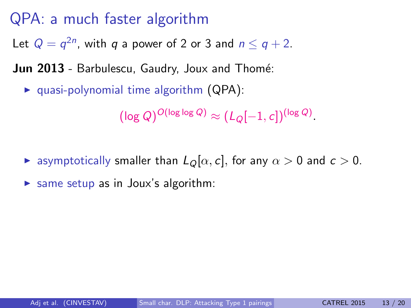Let  $Q = q^{2n}$ , with  $q$  a power of 2 or 3 and  $n \leq q+2$ .

**Jun 2013** - Barbulescu, Gaudry, Joux and Thomé:

 $\triangleright$  quasi-polynomial time algorithm (QPA):

- **E** asymptotically smaller than  $L_{\mathcal{Q}}[\alpha, c]$ , for any  $\alpha > 0$  and  $c > 0$ .
- same setup as in Joux's algorithm: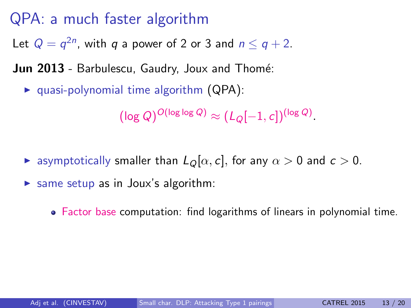Let  $Q = q^{2n}$ , with  $q$  a power of 2 or 3 and  $n \leq q+2$ .

**Jun 2013** - Barbulescu, Gaudry, Joux and Thomé:

 $\triangleright$  quasi-polynomial time algorithm (QPA):

- **E** asymptotically smaller than  $L_{\mathcal{Q}}[\alpha, c]$ , for any  $\alpha > 0$  and  $c > 0$ .
- same setup as in Joux's algorithm:
	- Factor base computation: find logarithms of linears in polynomial time.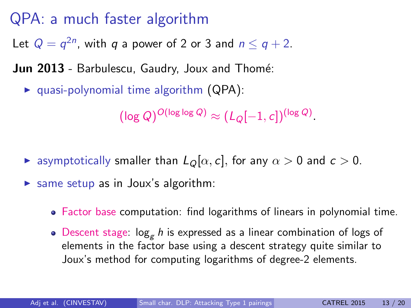Let  $Q = q^{2n}$ , with  $q$  a power of 2 or 3 and  $n \leq q+2$ .

**Jun 2013** - Barbulescu, Gaudry, Joux and Thomé:

 $\triangleright$  quasi-polynomial time algorithm (QPA):

- **E** asymptotically smaller than  $L_{\mathcal{Q}}[\alpha, c]$ , for any  $\alpha > 0$  and  $c > 0$ .
- same setup as in Joux's algorithm:
	- Factor base computation: find logarithms of linears in polynomial time.
	- Descent stage:  $\log_e h$  is expressed as a linear combination of logs of elements in the factor base using a descent strategy quite similar to Joux's method for computing logarithms of degree-2 elements.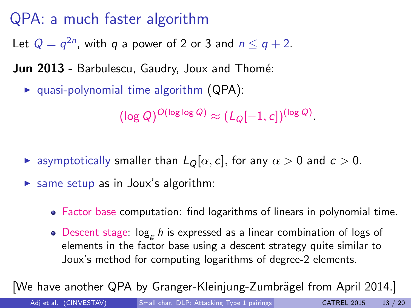Let  $Q = q^{2n}$ , with  $q$  a power of 2 or 3 and  $n \leq q+2$ .

**Jun 2013** - Barbulescu, Gaudry, Joux and Thomé:

 $\triangleright$  quasi-polynomial time algorithm (QPA):

 $(\log Q)^{O(\log\log Q)} \approx (L_Q[-1,c])^{(\log Q)}.$ 

- **E** asymptotically smaller than  $L_{\mathcal{Q}}[\alpha, c]$ , for any  $\alpha > 0$  and  $c > 0$ .
- same setup as in Joux's algorithm:
	- Factor base computation: find logarithms of linears in polynomial time.
	- Descent stage:  $\log_e h$  is expressed as a linear combination of logs of elements in the factor base using a descent strategy quite similar to Joux's method for computing logarithms of degree-2 elements.

[We have another QPA by Granger-Kleinjung-Zumbrägel from April 2014.]

Adj et al. (CINVESTAV) [Small char. DLP: Attacking Type 1 pairings](#page-0-0) CATREL 2015 13 / 20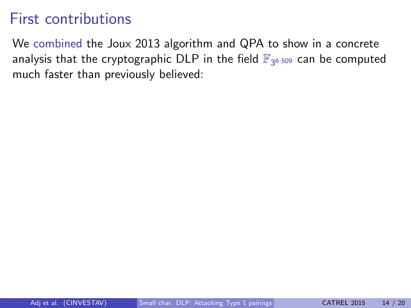We combined the Joux 2013 algorithm and QPA to show in a concrete analysis that the cryptographic DLP in the field  $\mathbb{F}_{3^{6\cdot 509}}$  can be computed much faster than previously believed: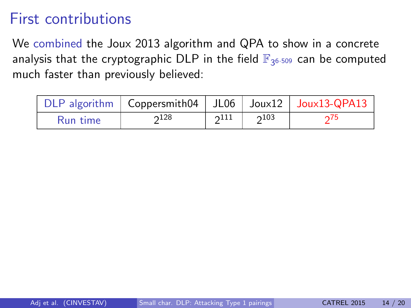We combined the Joux 2013 algorithm and QPA to show in a concrete analysis that the cryptographic DLP in the field  $\mathbb{F}_{3^{6\cdot 509}}$  can be computed much faster than previously believed:

|          | DLP algorithm $\vert$ Coppersmith04 $\vert$ JL06 $\vert$ Joux12 $\vert$ Joux13-QPA13 |      |      |     |
|----------|--------------------------------------------------------------------------------------|------|------|-----|
| Run time | $2^{128}$                                                                            | 2111 | 2103 | 275 |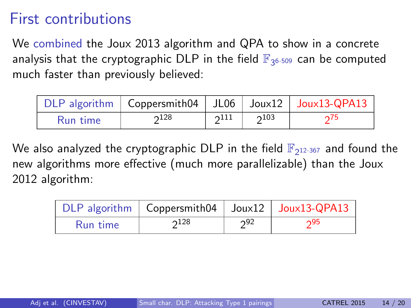We combined the Joux 2013 algorithm and QPA to show in a concrete analysis that the cryptographic DLP in the field  $\mathbb{F}_{3^{6\cdot 509}}$  can be computed much faster than previously believed:

|          | DLP algorithm $\vert$ Coppersmith04 $\vert$ JL06 $\vert$ Joux12 $\vert$ Joux13-QPA13 |      |      |     |
|----------|--------------------------------------------------------------------------------------|------|------|-----|
| Run time | $2^{128}$                                                                            | 2111 | 2103 | 275 |

We also analyzed the cryptographic DLP in the field  $\mathbb{F}_{2^{12 \cdot 367}}$  and found the new algorithms more effective (much more parallelizable) than the Joux 2012 algorithm:

|          | DLP algorithm   Coppersmith04   Joux12   Joux13-QPA13 |     |     |
|----------|-------------------------------------------------------|-----|-----|
| Run time | 2128                                                  | 292 | ი95 |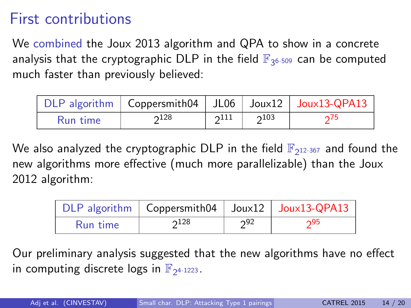We combined the Joux 2013 algorithm and QPA to show in a concrete analysis that the cryptographic DLP in the field  $\mathbb{F}_{3^{6\cdot 509}}$  can be computed much faster than previously believed:

|          | DLP algorithm $\vert$ Coppersmith04 $\vert$ JL06 $\vert$ Joux12 $\vert$ Joux13-QPA13 |      |      |     |
|----------|--------------------------------------------------------------------------------------|------|------|-----|
| Run time | $2^{128}$                                                                            | 2111 | 2103 | 275 |

We also analyzed the cryptographic DLP in the field  $\mathbb{F}_{2^{12 \cdot 367}}$  and found the new algorithms more effective (much more parallelizable) than the Joux 2012 algorithm:

|          | DLP algorithm   Coppersmith04   Joux12   Joux13-QPA13 |     |     |
|----------|-------------------------------------------------------|-----|-----|
| Run time | $2^{128}$                                             | 292 | າ95 |

Our preliminary analysis suggested that the new algorithms have no effect in computing discrete logs in  $\mathbb{F}_{2^{4\cdot 1223}}$ .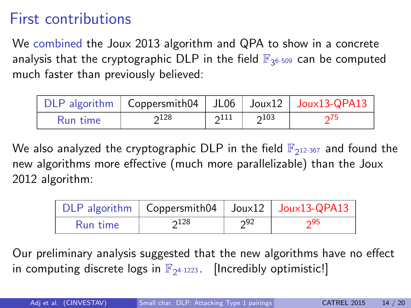We combined the Joux 2013 algorithm and QPA to show in a concrete analysis that the cryptographic DLP in the field  $\mathbb{F}_{3^{6\cdot 509}}$  can be computed much faster than previously believed:

|          | DLP algorithm $\vert$ Coppersmith04 $\vert$ JL06 $\vert$ Joux12 $\vert$ Joux13-QPA13 |      |      |     |
|----------|--------------------------------------------------------------------------------------|------|------|-----|
| Run time | $2^{128}$                                                                            | 2111 | 2103 | 275 |

We also analyzed the cryptographic DLP in the field  $\mathbb{F}_{2^{12 \cdot 367}}$  and found the new algorithms more effective (much more parallelizable) than the Joux 2012 algorithm:

|          | DLP algorithm   Coppersmith04   Joux12   Joux13-QPA13 |     |     |
|----------|-------------------------------------------------------|-----|-----|
| Run time | $2^{128}$                                             | 292 | 295 |

Our preliminary analysis suggested that the new algorithms have no effect in computing discrete logs in  $\mathbb{F}_{2^{4\cdot 1223}}$ . [Incredibly optimistic!]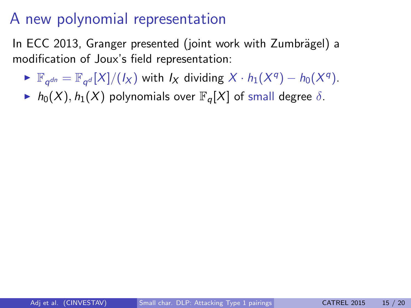In ECC 2013, Granger presented (joint work with Zumbrägel) a modification of Joux's field representation:

- $\blacktriangleright \mathbb{F}_{q^{dn}} = \mathbb{F}_{q^d}[X]/(I_X)$  with  $I_X$  dividing  $X \cdot h_1(X^q) h_0(X^q)$ .
- $h_0(X)$ ,  $h_1(X)$  polynomials over  $\mathbb{F}_q[X]$  of small degree  $\delta$ .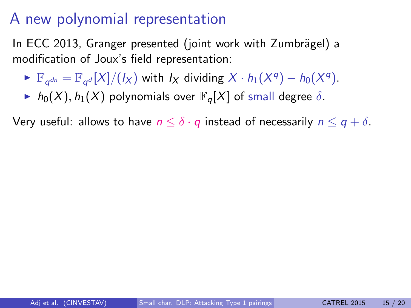In ECC 2013, Granger presented (joint work with Zumbrägel) a modification of Joux's field representation:

- $\blacktriangleright \mathbb{F}_{q^{dn}} = \mathbb{F}_{q^d}[X]/(I_X)$  with  $I_X$  dividing  $X \cdot h_1(X^q) h_0(X^q)$ .
- $h_0(X)$ ,  $h_1(X)$  polynomials over  $\mathbb{F}_q[X]$  of small degree  $\delta$ .

Very useful: allows to have  $n \leq \delta \cdot q$  instead of necessarily  $n \leq q + \delta$ .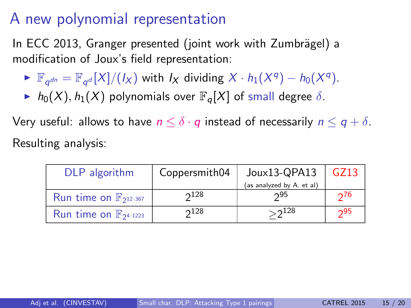In ECC 2013, Granger presented (joint work with Zumbrägel) a modification of Joux's field representation:

- $\blacktriangleright \mathbb{F}_{q^{dn}} = \mathbb{F}_{q^d}[X]/(I_X)$  with  $I_X$  dividing  $X \cdot h_1(X^q) h_0(X^q)$ .
- $\blacktriangleright$  h<sub>0</sub>(X), h<sub>1</sub>(X) polynomials over  $\mathbb{F}_q[X]$  of small degree  $\delta$ .

Very useful: allows to have  $n \leq \delta \cdot q$  instead of necessarily  $n \leq q + \delta$ . Resulting analysis:

| DLP algorithm                               | Joux13-QPA13<br>Coppersmith04 |                           | GZ13 |
|---------------------------------------------|-------------------------------|---------------------------|------|
|                                             |                               | (as analyzed by A. et al) |      |
| Run time on $\mathbb{F}_{2^{12 \cdot 367}}$ | $2^{128}$                     | 295                       | 276  |
| Run time on $\mathbb{F}_{2^{4\cdot1223}}$   | $2^{128}$                     | $>2^{128}$                | 295  |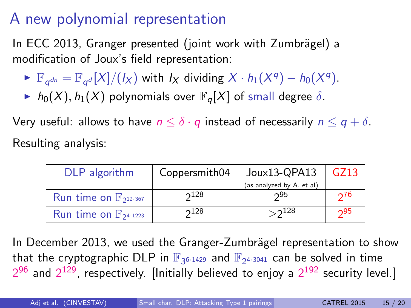In ECC 2013, Granger presented (joint work with Zumbrägel) a modification of Joux's field representation:

- $\blacktriangleright \mathbb{F}_{q^{dn}} = \mathbb{F}_{q^d}[X]/(I_X)$  with  $I_X$  dividing  $X \cdot h_1(X^q) h_0(X^q)$ .
- $\blacktriangleright$  h<sub>0</sub>(X), h<sub>1</sub>(X) polynomials over  $\mathbb{F}_q[X]$  of small degree  $\delta$ .

Very useful: allows to have  $n \leq \delta \cdot q$  instead of necessarily  $n \leq q + \delta$ . Resulting analysis:

| DLP algorithm                               | Joux13-QPA13<br>Coppersmith04 |                           | GZ13 |
|---------------------------------------------|-------------------------------|---------------------------|------|
|                                             |                               | (as analyzed by A. et al) |      |
| Run time on $\mathbb{F}_{2^{12 \cdot 367}}$ | $2^{128}$                     | 295                       | 276  |
| Run time on $\mathbb{F}_{2^{4\cdot1223}}$   | $2^{128}$                     | $>$ 2 $^{128}$            | 295  |

In December 2013, we used the Granger-Zumbrägel representation to show that the cryptographic DLP in  $\mathbb{F}_{3^{6 \cdot 1429}}$  and  $\mathbb{F}_{2^{4 \cdot 3041}}$  can be solved in time  $2^{96}$  and  $2^{129}$ , respectively. [Initially believed to enjoy a  $2^{192}$  security level.]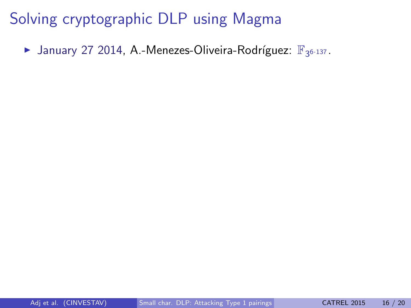$\blacktriangleright$  January 27 2014, A.-Menezes-Oliveira-Rodríguez:  $\mathbb{F}_{3^{6 \cdot 137}}$ .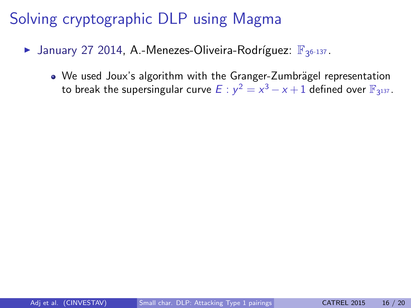- $\blacktriangleright$  January 27 2014, A.-Menezes-Oliveira-Rodríguez:  $\mathbb{F}_{3^{6 \cdot 137}}$ .
	- $\bullet$  We used Joux's algorithm with the Granger-Zumbrägel representation to break the supersingular curve  $E: y^2 = x^3 - x + 1$  defined over  $\mathbb{F}_{3^{137}}$ .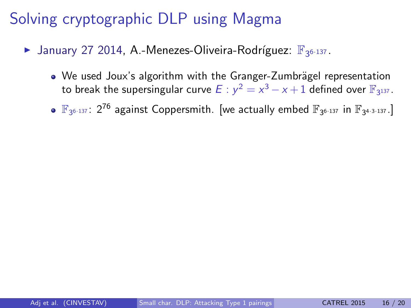- $\blacktriangleright$  January 27 2014, A.-Menezes-Oliveira-Rodríguez:  $\mathbb{F}_{3^{6 \cdot 137}}$ .
	- We used Joux's algorithm with the Granger-Zumbrägel representation to break the supersingular curve  $E: y^2 = x^3 - x + 1$  defined over  $\mathbb{F}_{3^{137}}$ .
	- $\mathbb{F}_{3^{6 \cdot 137}}$ :  $2^{76}$  against Coppersmith. [we actually embed  $\mathbb{F}_{3^{6 \cdot 137}}$  in  $\mathbb{F}_{3^{4 \cdot 3 \cdot 137}}$ .]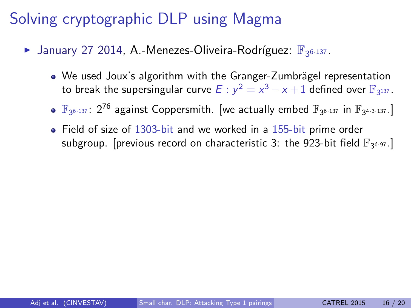- $\blacktriangleright$  January 27 2014, A.-Menezes-Oliveira-Rodríguez:  $\mathbb{F}_{3^{6 \cdot 137}}$ .
	- We used Joux's algorithm with the Granger-Zumbrägel representation to break the supersingular curve  $E: y^2 = x^3 - x + 1$  defined over  $\mathbb{F}_{3^{137}}$ .
	- $\mathbb{F}_{3^{6 \cdot 137}}$ :  $2^{76}$  against Coppersmith. [we actually embed  $\mathbb{F}_{3^{6 \cdot 137}}$  in  $\mathbb{F}_{3^{4 \cdot 3 \cdot 137}}$ .]
	- Field of size of 1303-bit and we worked in a 155-bit prime order subgroup. [previous record on characteristic 3: the 923-bit field  $\mathbb{F}_{3^{6\cdot 97}}$ .]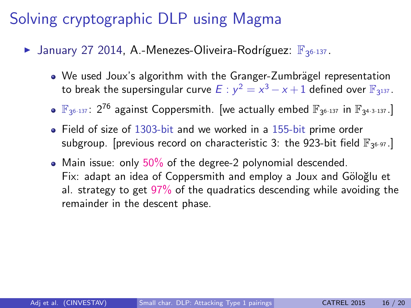- $\blacktriangleright$  January 27 2014, A.-Menezes-Oliveira-Rodríguez:  $\mathbb{F}_{3^{6 \cdot 137}}$ .
	- We used Joux's algorithm with the Granger-Zumbrägel representation to break the supersingular curve  $E: y^2 = x^3 - x + 1$  defined over  $\mathbb{F}_{3^{137}}$ .
	- $\mathbb{F}_{3^{6 \cdot 137}}$ :  $2^{76}$  against Coppersmith. [we actually embed  $\mathbb{F}_{3^{6 \cdot 137}}$  in  $\mathbb{F}_{3^{4 \cdot 3 \cdot 137}}$ .]
	- Field of size of 1303-bit and we worked in a 155-bit prime order subgroup. [previous record on characteristic 3: the 923-bit field  $\mathbb{F}_{3^{6\cdot 97}}$ .]
	- Main issue: only  $50\%$  of the degree-2 polynomial descended. Fix: adapt an idea of Coppersmith and employ a Joux and Göloğlu et al. strategy to get 97% of the quadratics descending while avoiding the remainder in the descent phase.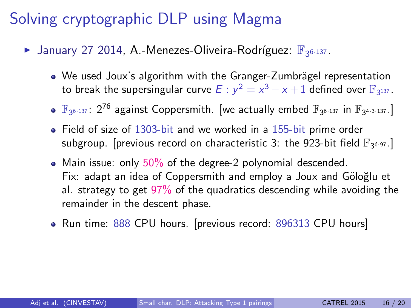- $\blacktriangleright$  January 27 2014, A.-Menezes-Oliveira-Rodríguez:  $\mathbb{F}_{3^{6 \cdot 137}}$ .
	- We used Joux's algorithm with the Granger-Zumbrägel representation to break the supersingular curve  $E: y^2 = x^3 - x + 1$  defined over  $\mathbb{F}_{3^{137}}$ .
	- $\mathbb{F}_{3^{6 \cdot 137}}$ :  $2^{76}$  against Coppersmith. [we actually embed  $\mathbb{F}_{3^{6 \cdot 137}}$  in  $\mathbb{F}_{3^{4 \cdot 3 \cdot 137}}$ .]
	- Field of size of 1303-bit and we worked in a 155-bit prime order subgroup. [previous record on characteristic 3: the 923-bit field  $\mathbb{F}_{3^{6\cdot 97}}$ .]
	- Main issue: only  $50\%$  of the degree-2 polynomial descended. Fix: adapt an idea of Coppersmith and employ a Joux and Göloğlu et al. strategy to get 97% of the quadratics descending while avoiding the remainder in the descent phase.
	- Run time: 888 CPU hours. [previous record: 896313 CPU hours]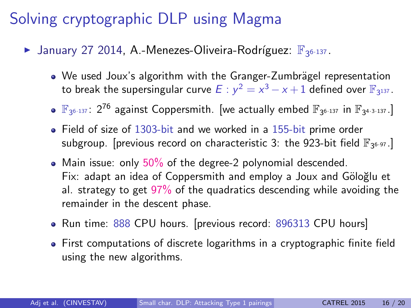- $\blacktriangleright$  January 27 2014, A.-Menezes-Oliveira-Rodríguez:  $\mathbb{F}_{3^{6 \cdot 137}}$ .
	- We used Joux's algorithm with the Granger-Zumbrägel representation to break the supersingular curve  $E: y^2 = x^3 - x + 1$  defined over  $\mathbb{F}_{3^{137}}$ .
	- $\mathbb{F}_{3^{6 \cdot 137}}$ :  $2^{76}$  against Coppersmith. [we actually embed  $\mathbb{F}_{3^{6 \cdot 137}}$  in  $\mathbb{F}_{3^{4 \cdot 3 \cdot 137}}$ .]
	- Field of size of 1303-bit and we worked in a 155-bit prime order subgroup. [previous record on characteristic 3: the 923-bit field  $\mathbb{F}_{3^{6\cdot 97}}$ .]
	- Main issue: only  $50\%$  of the degree-2 polynomial descended. Fix: adapt an idea of Coppersmith and employ a Joux and Göloğlu et al. strategy to get 97% of the quadratics descending while avoiding the remainder in the descent phase.
	- Run time: 888 CPU hours. [previous record: 896313 CPU hours]
	- First computations of discrete logarithms in a cryptographic finite field using the new algorithms.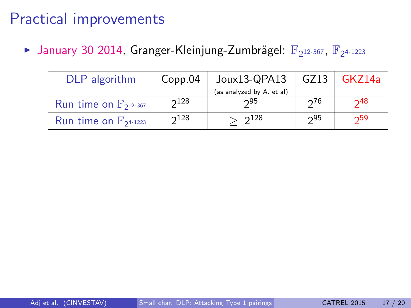| DLP algorithm                              | Copp.04 | Joux13-QPA13              | GZ13 | GKZ14a |
|--------------------------------------------|---------|---------------------------|------|--------|
|                                            |         | (as analyzed by A. et al) |      |        |
| Run time on $\mathbb{F}_{2^{12\cdot 367}}$ | 2128    | 295                       | 276  | 248    |
| Run time on $\mathbb{F}_{2^{4\cdot1223}}$  | 2128    | $2^{128}$                 | 295  | 259    |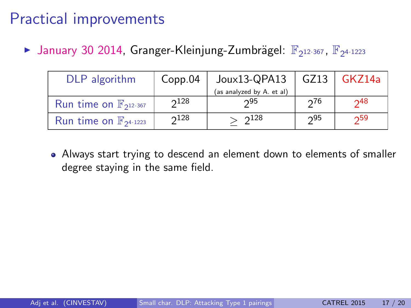► January 30 2014, Granger-Kleinjung-Zumbrägel:  $\mathbb{F}_{2^{12 \cdot 367}}$ ,  $\mathbb{F}_{2^{4 \cdot 1223}}$ 

| DLP algorithm                              | Copp.04 | $J$ oux13-QPA13           |     | GZ13   GKZ14a     |
|--------------------------------------------|---------|---------------------------|-----|-------------------|
|                                            |         | (as analyzed by A. et al) |     |                   |
| Run time on $\mathbb{F}_{2^{12\cdot 367}}$ | 2128    | 295                       | 276 | $\mathsf{\sim}48$ |
| Run time on $\mathbb{F}_{24 \cdot 1223}$   | 2128    | 2128                      | 295 | 259               |

Always start trying to descend an element down to elements of smaller degree staying in the same field.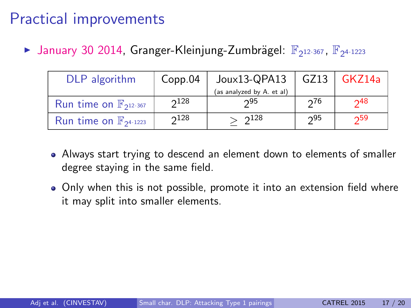| DLP algorithm                              | Copp.04      | Joux13-QPA13              | GZ13 | GKZ14a             |
|--------------------------------------------|--------------|---------------------------|------|--------------------|
|                                            |              | (as analyzed by A. et al) |      |                    |
| Run time on $\mathbb{F}_{2^{12\cdot 367}}$ | $\gamma$ 128 | 295                       | 276  | $\mathcal{P}^{48}$ |
| Run time on $\mathbb{F}_{24 \cdot 1223}$   | 2128         | 2128                      | 295  | 259                |

- Always start trying to descend an element down to elements of smaller degree staying in the same field.
- Only when this is not possible, promote it into an extension field where it may split into smaller elements.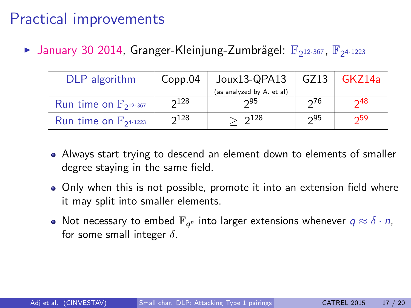| DLP algorithm                              | Copp.04      | Joux13-QPA13              | GZ13 | GKZ14a             |
|--------------------------------------------|--------------|---------------------------|------|--------------------|
|                                            |              | (as analyzed by A. et al) |      |                    |
| Run time on $\mathbb{F}_{2^{12\cdot 367}}$ | $\gamma$ 128 | 295                       | 276  | $\mathcal{P}^{48}$ |
| Run time on $\mathbb{F}_{24 \cdot 1223}$   | 2128         | 2128                      | 295  | 259                |

- Always start trying to descend an element down to elements of smaller degree staying in the same field.
- Only when this is not possible, promote it into an extension field where it may split into smaller elements.
- Not necessary to embed  $\mathbb{F}_{q^n}$  into larger extensions whenever  $q \approx \delta \cdot n$ , for some small integer  $\delta$ .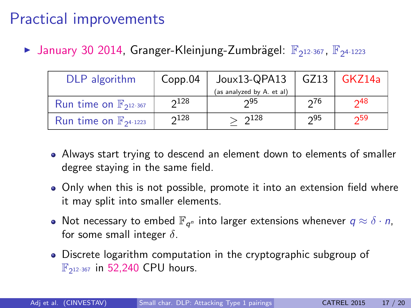| DLP algorithm                              | Copp.04 | $J$ oux13-QPA13           |     | GZ13   GKZ14a     |
|--------------------------------------------|---------|---------------------------|-----|-------------------|
|                                            |         | (as analyzed by A. et al) |     |                   |
| Run time on $\mathbb{F}_{2^{12\cdot 367}}$ | 2128    | 295                       | 276 | $\mathsf{\sim}48$ |
| Run time on $\mathbb{F}_{24 \cdot 1223}$   | 2128    | 2128                      | 295 | 259               |

- Always start trying to descend an element down to elements of smaller degree staying in the same field.
- Only when this is not possible, promote it into an extension field where it may split into smaller elements.
- Not necessary to embed  $\mathbb{F}_{q^n}$  into larger extensions whenever  $q \approx \delta \cdot n$ , for some small integer  $\delta$ .
- Discrete logarithm computation in the cryptographic subgroup of  $\mathbb{F}_{2^{12\cdot 367}}$  in 52,240 CPU hours.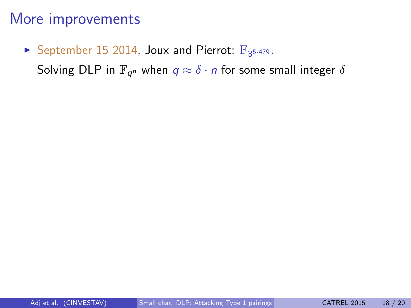### September 15 2014, Joux and Pierrot:  $\mathbb{F}_{3^{5\cdot 479}}$ .

Solving DLP in  $\mathbb{F}_{q^n}$  when  $q\approx \delta\cdot n$  for some small integer  $\delta$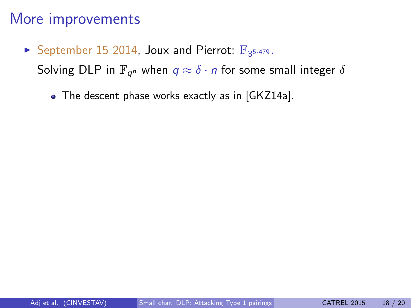- September 15 2014, Joux and Pierrot:  $\mathbb{F}_{3^{5\cdot 479}}$ . Solving DLP in  $\mathbb{F}_{q^n}$  when  $q\approx \delta\cdot n$  for some small integer  $\delta$ 
	- The descent phase works exactly as in [GKZ14a].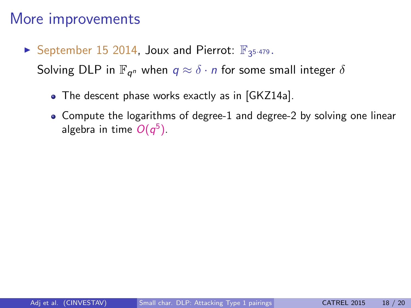September 15 2014, Joux and Pierrot:  $\mathbb{F}_{3^{5\cdot 479}}$ .

Solving DLP in  $\mathbb{F}_{q^n}$  when  $q\approx \delta\cdot n$  for some small integer  $\delta$ 

- The descent phase works exactly as in [GKZ14a].
- Compute the logarithms of degree-1 and degree-2 by solving one linear algebra in time  $O(q^5)$ .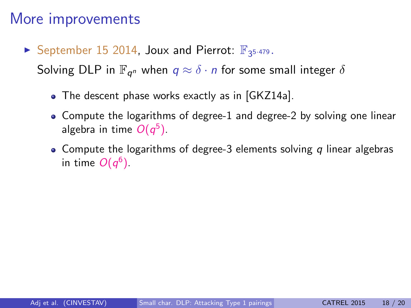September 15 2014, Joux and Pierrot:  $\mathbb{F}_{3^{5\cdot 479}}$ .

Solving DLP in  $\mathbb{F}_{q^n}$  when  $q\approx \delta\cdot n$  for some small integer  $\delta$ 

- The descent phase works exactly as in [GKZ14a].
- Compute the logarithms of degree-1 and degree-2 by solving one linear algebra in time  $O(q^5)$ .
- Compute the logarithms of degree-3 elements solving q linear algebras in time  $O(q^6)$  .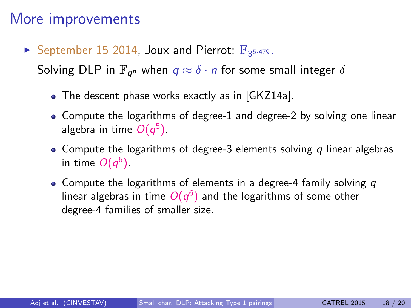## More improvements

September 15 2014, Joux and Pierrot:  $\mathbb{F}_{3^{5\cdot 479}}$ .

Solving DLP in  $\mathbb{F}_{q^n}$  when  $q\approx \delta\cdot n$  for some small integer  $\delta$ 

- The descent phase works exactly as in [GKZ14a].
- Compute the logarithms of degree-1 and degree-2 by solving one linear algebra in time  $O(q^5)$ .
- Compute the logarithms of degree-3 elements solving q linear algebras in time  $O(q^6)$  .
- Compute the logarithms of elements in a degree-4 family solving  $q$ linear algebras in time  $O(q^6)$  and the logarithms of some other degree-4 families of smaller size.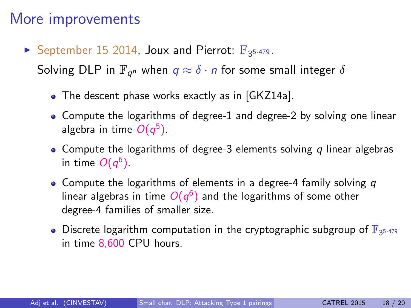## More improvements

September 15 2014, Joux and Pierrot:  $\mathbb{F}_{3^{5\cdot 479}}$ .

Solving DLP in  $\mathbb{F}_{q^n}$  when  $q\approx \delta\cdot n$  for some small integer  $\delta$ 

- The descent phase works exactly as in [GKZ14a].
- Compute the logarithms of degree-1 and degree-2 by solving one linear algebra in time  $O(q^5)$ .
- Compute the logarithms of degree-3 elements solving q linear algebras in time  $O(q^6)$  .
- Compute the logarithms of elements in a degree-4 family solving  $q$ linear algebras in time  $O(q^6)$  and the logarithms of some other degree-4 families of smaller size.
- Discrete logarithm computation in the cryptographic subgroup of  $\mathbb{F}_{3^{5\cdot 479}}$ in time 8,600 CPU hours.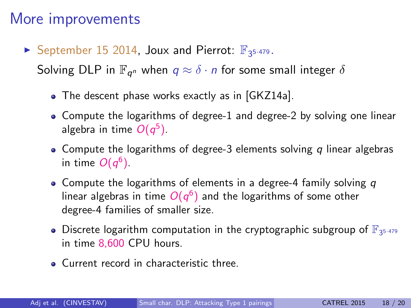# More improvements

September 15 2014, Joux and Pierrot:  $\mathbb{F}_{3^{5\cdot 479}}$ .

Solving DLP in  $\mathbb{F}_{q^n}$  when  $q\approx \delta\cdot n$  for some small integer  $\delta$ 

- The descent phase works exactly as in [GKZ14a].
- Compute the logarithms of degree-1 and degree-2 by solving one linear algebra in time  $O(q^5)$ .
- Compute the logarithms of degree-3 elements solving q linear algebras in time  $O(q^6)$  .
- Compute the logarithms of elements in a degree-4 family solving  $q$ linear algebras in time  $O(q^6)$  and the logarithms of some other degree-4 families of smaller size.
- Discrete logarithm computation in the cryptographic subgroup of  $\mathbb{F}_{3^{5\cdot 479}}$ in time 8,600 CPU hours.
- **Current record in characteristic three**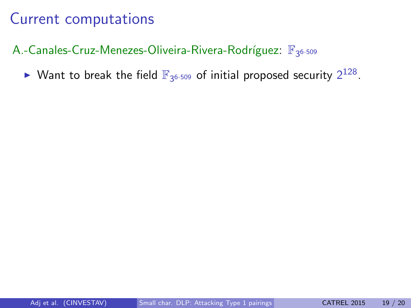## A.-Canales-Cruz-Menezes-Oliveira-Rivera-Rodríguez:  $\mathbb{F}_{3^{6 \cdot 509}}$

 $\blacktriangleright$  Want to break the field  $\mathbb{F}_{3^{6\cdot 509}}$  of initial proposed security  $2^{128}$ .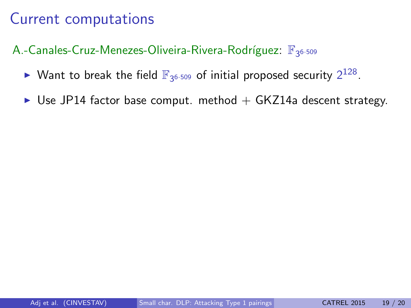- $\blacktriangleright$  Want to break the field  $\mathbb{F}_{3^{6\cdot 509}}$  of initial proposed security  $2^{128}$ .
- $\triangleright$  Use JP14 factor base comput. method  $+$  GKZ14a descent strategy.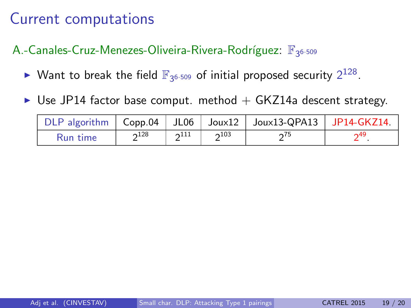- $\blacktriangleright$  Want to break the field  $\mathbb{F}_{3^{6\cdot 509}}$  of initial proposed security  $2^{128}$ .
- $\triangleright$  Use JP14 factor base comput. method  $+$  GKZ14a descent strategy.

|          |           |                       | $\vert$ DLP algorithm $\vert$ Copp.04 $\vert$ JL06 $\vert$ Joux12 $\vert$ Joux13-QPA13 $\vert$ JP14-GKZ14. |     |
|----------|-----------|-----------------------|------------------------------------------------------------------------------------------------------------|-----|
| Run time | $2^{128}$ | $2^{111}$   $2^{103}$ | ∩75                                                                                                        | ∩49 |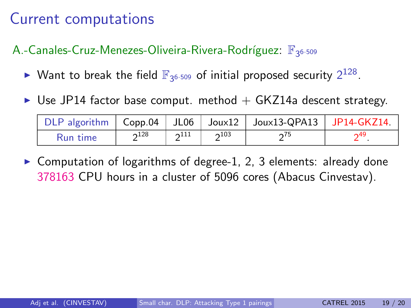## A.-Canales-Cruz-Menezes-Oliveira-Rivera-Rodríguez:  $\mathbb{F}_{3^{6 \cdot 509}}$

- $\blacktriangleright$  Want to break the field  $\mathbb{F}_{3^{6\cdot 509}}$  of initial proposed security  $2^{128}$ .
- $\triangleright$  Use JP14 factor base comput. method  $+$  GKZ14a descent strategy.

|          |           |                         |           | DLP algorithm $\vert$ Copp.04 $\vert$ JL06 $\vert$ Joux12 $\vert$ Joux13-QPA13 $\vert$ JP14-GKZ14. |     |
|----------|-----------|-------------------------|-----------|----------------------------------------------------------------------------------------------------|-----|
| Run time | $2^{128}$ | $\gamma$ <sup>111</sup> | $2^{103}$ | $\sim$ 75                                                                                          | ∩49 |

 $\triangleright$  Computation of logarithms of degree-1, 2, 3 elements: already done 378163 CPU hours in a cluster of 5096 cores (Abacus Cinvestav).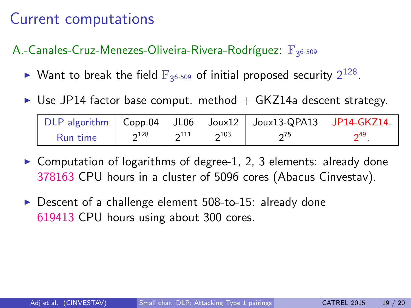- $\blacktriangleright$  Want to break the field  $\mathbb{F}_{3^{6\cdot 509}}$  of initial proposed security  $2^{128}$ .
- $\triangleright$  Use JP14 factor base comput. method  $+$  GKZ14a descent strategy.

|          |           |                         |           | DLP algorithm   Copp.04   JL06   Joux12   Joux13-QPA13   JP14-GKZ14. |     |
|----------|-----------|-------------------------|-----------|----------------------------------------------------------------------|-----|
| Run time | $2^{128}$ | $\gamma$ <sup>111</sup> | $2^{103}$ | $\mathcal{L}^{3}$                                                    | ∩49 |

- $\triangleright$  Computation of logarithms of degree-1, 2, 3 elements: already done 378163 CPU hours in a cluster of 5096 cores (Abacus Cinvestav).
- $\triangleright$  Descent of a challenge element 508-to-15: already done 619413 CPU hours using about 300 cores.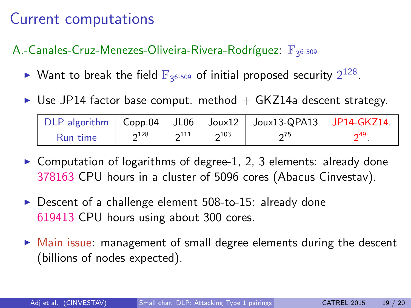- $\blacktriangleright$  Want to break the field  $\mathbb{F}_{3^{6\cdot 509}}$  of initial proposed security  $2^{128}$ .
- $\triangleright$  Use JP14 factor base comput. method  $+$  GKZ14a descent strategy.

|                 |           |                         |              | DLP algorithm   Copp.04   JL06   Joux12   Joux13-QPA13   JP14-GKZ14. |     |
|-----------------|-----------|-------------------------|--------------|----------------------------------------------------------------------|-----|
| <b>Run time</b> | $2^{128}$ | $\gamma$ <sup>111</sup> | $\gamma$ 103 | $\sqrt{75}$                                                          | ∩49 |

- $\triangleright$  Computation of logarithms of degree-1, 2, 3 elements: already done 378163 CPU hours in a cluster of 5096 cores (Abacus Cinvestav).
- $\triangleright$  Descent of a challenge element 508-to-15: already done 619413 CPU hours using about 300 cores.
- $\triangleright$  Main issue: management of small degree elements during the descent (billions of nodes expected).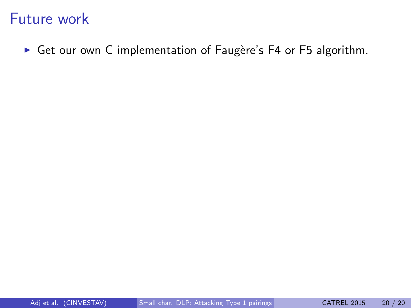$\triangleright$  Get our own C implementation of Faugère's F4 or F5 algorithm.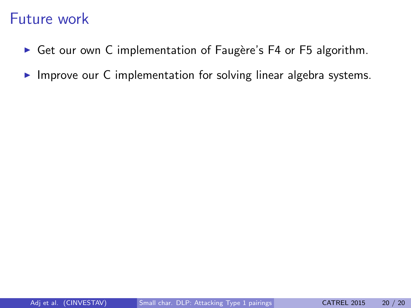- $\triangleright$  Get our own C implementation of Faugère's F4 or F5 algorithm.
- $\triangleright$  Improve our C implementation for solving linear algebra systems.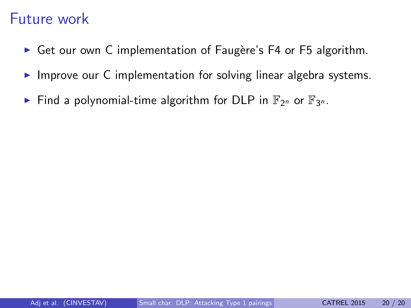- $\triangleright$  Get our own C implementation of Faugère's F4 or F5 algorithm.
- $\triangleright$  Improve our C implementation for solving linear algebra systems.
- Find a polynomial-time algorithm for DLP in  $\mathbb{F}_{2^n}$  or  $\mathbb{F}_{3^n}$ .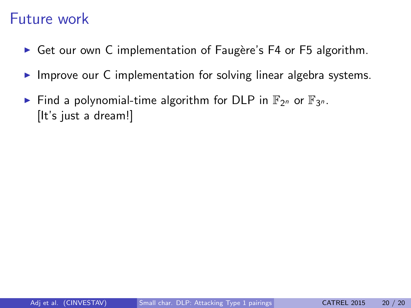- $\triangleright$  Get our own C implementation of Faugère's F4 or F5 algorithm.
- $\triangleright$  Improve our C implementation for solving linear algebra systems.
- Find a polynomial-time algorithm for DLP in  $\mathbb{F}_{2^n}$  or  $\mathbb{F}_{3^n}$ . [It's just a dream!]